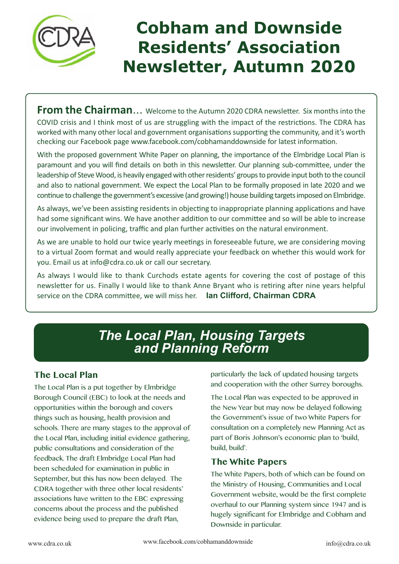

# **Cobham and Downside Residents' Association Newsletter, Autumn 2020**

**From the Chairman**... Welcome to the Autumn 2020 CDRA newsletter. Six months into the COVID crisis and I think most of us are struggling with the impact of the restrictions. The CDRA has worked with many other local and government organisations supporting the community, and it's worth checking our Facebook page www.facebook.com/cobhamanddownside for latest information.

With the proposed government White Paper on planning, the importance of the Elmbridge Local Plan is paramount and you will find details on both in this newsletter. Our planning sub-committee, under the leadership of Steve Wood, is heavily engaged with other residents' groups to provide input both to the council and also to national government. We expect the Local Plan to be formally proposed in late 2020 and we continue to challenge the government's excessive (and growing!) house building targets imposed on Elmbridge.

As always, we've been assisting residents in objecting to inappropriate planning applications and have had some significant wins. We have another addition to our committee and so will be able to increase our involvement in policing, traffic and plan further activities on the natural environment.

As we are unable to hold our twice yearly meetings in foreseeable future, we are considering moving to a virtual Zoom format and would really appreciate your feedback on whether this would work for you. Email us at info@cdra.co.uk or call our secretary.

As always I would like to thank Curchods estate agents for covering the cost of postage of this newsletter for us. Finally I would like to thank Anne Bryant who is retiring after nine years helpful service on the CDRA committee, we will miss her. **Ian Clifford, Chairman CDRA**

## *The Local Plan, Housing Targets and Planning Reform*

#### **The Local Plan**

The Local Plan is a put together by Elmbridge Borough Council (EBC) to look at the needs and opportunities within the borough and covers things such as housing, health provision and schools. There are many stages to the approval of the Local Plan, including initial evidence gathering, public consultations and consideration of the feedback. The draft Elmbridge Local Plan had been scheduled for examination in public in September, but this has now been delayed. The CDRA together with three other local residents' associations have written to the EBC expressing concerns about the process and the published evidence being used to prepare the draft Plan,

particularly the lack of updated housing targets and cooperation with the other Surrey boroughs.

The Local Plan was expected to be approved in the New Year but may now be delayed following the Government's issue of two White Papers for consultation on a completely new Planning Act as part of Boris Johnson's economic plan to 'build, build, build'.

#### **The White Papers**

The White Papers, both of which can be found on the Ministry of Housing, Communities and Local Government website, would be the first complete overhaul to our Planning system since 1947 and is hugely significant for Elmbridge and Cobham and Downside in particular.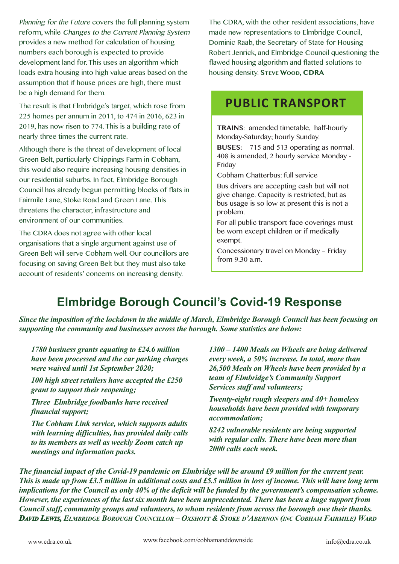Planning for the Future covers the full planning system reform, while Changes to the Current Planning System provides a new method for calculation of housing numbers each borough is expected to provide development land for. This uses an algorithm which loads extra housing into high value areas based on the assumption that if house prices are high, there must be a high demand for them.

The result is that Elmbridge's target, which rose from 225 homes per annum in 2011, to 474 in 2016, 623 in 2019, has now risen to 774. This is a building rate of nearly three times the current rate.

Although there is the threat of development of local Green Belt, particularly Chippings Farm in Cobham, this would also require increasing housing densities in our residential suburbs. In fact, Elmbridge Borough Council has already begun permitting blocks of flats in Fairmile Lane, Stoke Road and Green Lane. This threatens the character, infrastructure and environment of our communities.

The CDRA does not agree with other local organisations that a single argument against use of Green Belt will serve Cobham well. Our councillors are focusing on saving Green Belt but they must also take account of residents' concerns on increasing density.

The CDRA, with the other resident associations, have made new representations to Elmbridge Council, Dominic Raab, the Secretary of State for Housing Robert Jenrick, and Elmbridge Council questioning the flawed housing algorithm and flatted solutions to housing density. **STEVE WOOD, CDRA**

## **PUBLIC TRANSPORT**

**TRAINS**: amended timetable, half-hourly Monday-Saturday; hourly Sunday.

**BUSES:** 715 and 513 operating as normal. 408 is amended, 2 hourly service Monday - Friday

Cobham Chatterbus: full service

Bus drivers are accepting cash but will not give change. Capacity is restricted, but as bus usage is so low at present this is not a problem.

For all public transport face coverings must be worn except children or if medically exempt.

Concessionary travel on Monday – Friday from 9.30 a.m.

# **Elmbridge Borough Council's Covid-19 Response**

*Since the imposition of the lockdown in the middle of March, Elmbridge Borough Council has been focusing on supporting the community and businesses across the borough. Some statistics are below:*

*1780 business grants equating to £24.6 million have been processed and the car parking charges were waived until 1st September 2020;*

*100 high street retailers have accepted the £250 grant to support their reopening;* 

*Three Elmbridge foodbanks have received financial support;*

*The Cobham Link service, which supports adults with learning difficulties, has provided daily calls to its members as well as weekly Zoom catch up meetings and information packs.*

*1300 – 1400 Meals on Wheels are being delivered every week, a 50% increase. In total, more than 26,500 Meals on Wheels have been provided by a team of Elmbridge's Community Support Services staff and volunteers;*

*Twenty-eight rough sleepers and 40+ homeless households have been provided with temporary accommodation;*

*8242 vulnerable residents are being supported with regular calls. There have been more than 2000 calls each week.*

*The financial impact of the Covid-19 pandemic on Elmbridge will be around £9 million for the current year. This is made up from £3.5 million in additional costs and £5.5 million in loss of income. This will have long term implications for the Council as only 40% of the deficit will be funded by the government's compensation scheme. However, the experiences of the last six month have been unprecedented. There has been a huge support from Council staff, community groups and volunteers, to whom residents from across the borough owe their thanks. DAVID LEWIS, ELMBRIDGE BOROUGH COUNCILLOR – OXSHOTT & STOKE D'ABERNON (INC COBHAM FAIRMILE) WARD*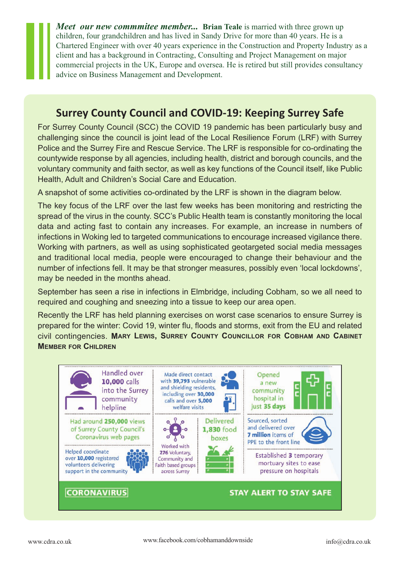*Meet our new commmitee member...* Brian Teale is married with three grown up children, four grandchildren and has lived in Sandy Drive for more than 40 years. He is a Chartered Engineer with over 40 years experience in the Construction and Property Industry as a client and has a background in Contracting, Consulting and Project Management on major commercial projects in the UK, Europe and oversea. He is retired but still provides consultancy advice on Business Management and Development.

### **Surrey County Council and COVID-19: Keeping Surrey Safe**

For Surrey County Council (SCC) the COVID 19 pandemic has been particularly busy and challenging since the council is joint lead of the Local Resilience Forum (LRF) with Surrey Police and the Surrey Fire and Rescue Service. The LRF is responsible for co-ordinating the countywide response by all agencies, including health, district and borough councils, and the voluntary community and faith sector, as well as key functions of the Council itself, like Public Health, Adult and Children's Social Care and Education.

A snapshot of some activities co-ordinated by the LRF is shown in the diagram below.

The key focus of the LRF over the last few weeks has been monitoring and restricting the spread of the virus in the county. SCC's Public Health team is constantly monitoring the local data and acting fast to contain any increases. For example, an increase in numbers of infections in Woking led to targeted communications to encourage increased vigilance there. Working with partners, as well as using sophisticated geotargeted social media messages and traditional local media, people were encouraged to change their behaviour and the number of infections fell. It may be that stronger measures, possibly even 'local lockdowns', may be needed in the months ahead.

September has seen a rise in infections in Elmbridge, including Cobham, so we all need to required and coughing and sneezing into a tissue to keep our area open.

Recently the LRF has held planning exercises on worst case scenarios to ensure Surrey is prepared for the winter: Covid 19, winter flu, floods and storms, exit from the EU and related civil contingencies. **MARY LEWIS, SURREY COUNTY COUNCILLOR FOR COBHAM AND CABINET MEMBER FOR CHILDREN**